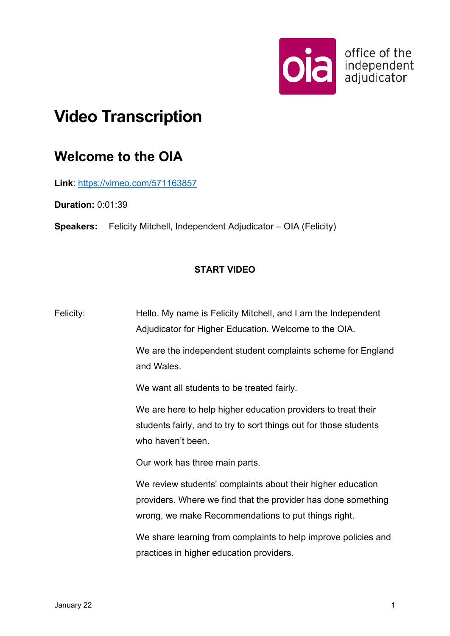

## **Video Transcription**

## **Welcome to the OIA**

**Link**:<https://vimeo.com/571163857>

**Duration:** 0:01:39

**Speakers:** Felicity Mitchell, Independent Adjudicator – OIA (Felicity)

## **START VIDEO**

Felicity: Hello. My name is Felicity Mitchell, and I am the Independent Adjudicator for Higher Education. Welcome to the OIA.

> We are the independent student complaints scheme for England and Wales.

We want all students to be treated fairly.

We are here to help higher education providers to treat their students fairly, and to try to sort things out for those students who haven't been.

Our work has three main parts.

We review students' complaints about their higher education providers. Where we find that the provider has done something wrong, we make Recommendations to put things right.

We share learning from complaints to help improve policies and practices in higher education providers.